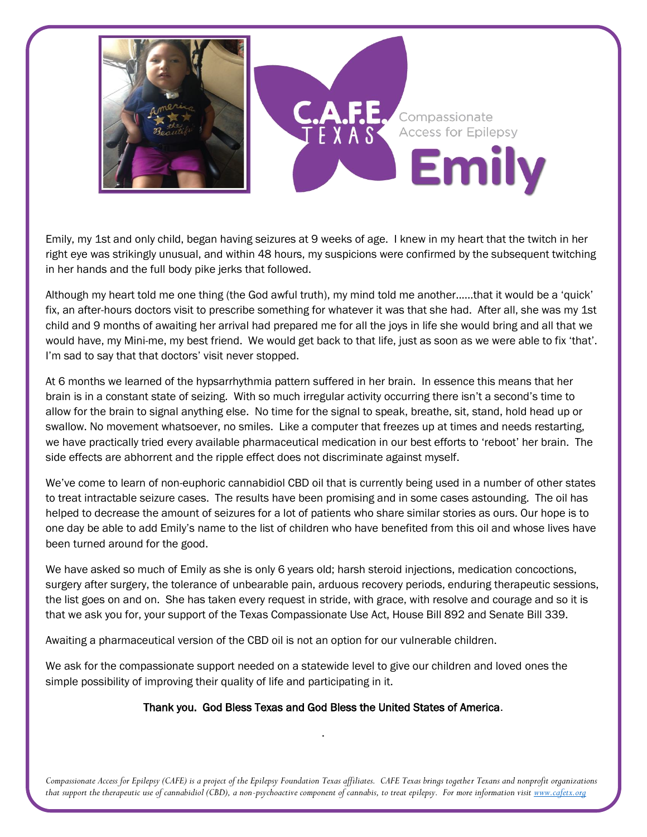

Emily, my 1st and only child, began having seizures at 9 weeks of age. I knew in my heart that the twitch in her right eye was strikingly unusual, and within 48 hours, my suspicions were confirmed by the subsequent twitching in her hands and the full body pike jerks that followed.

Although my heart told me one thing (the God awful truth), my mind told me another......that it would be a 'quick' fix, an after-hours doctors visit to prescribe something for whatever it was that she had. After all, she was my 1st child and 9 months of awaiting her arrival had prepared me for all the joys in life she would bring and all that we would have, my Mini-me, my best friend. We would get back to that life, just as soon as we were able to fix 'that'. I'm sad to say that that doctors' visit never stopped.

At 6 months we learned of the hypsarrhythmia pattern suffered in her brain. In essence this means that her brain is in a constant state of seizing. With so much irregular activity occurring there isn't a second's time to allow for the brain to signal anything else. No time for the signal to speak, breathe, sit, stand, hold head up or swallow. No movement whatsoever, no smiles. Like a computer that freezes up at times and needs restarting, we have practically tried every available pharmaceutical medication in our best efforts to 'reboot' her brain. The side effects are abhorrent and the ripple effect does not discriminate against myself.

We've come to learn of non-euphoric cannabidiol CBD oil that is currently being used in a number of other states to treat intractable seizure cases. The results have been promising and in some cases astounding. The oil has helped to decrease the amount of seizures for a lot of patients who share similar stories as ours. Our hope is to one day be able to add Emily's name to the list of children who have benefited from this oil and whose lives have been turned around for the good.

We have asked so much of Emily as she is only 6 years old; harsh steroid injections, medication concoctions, surgery after surgery, the tolerance of unbearable pain, arduous recovery periods, enduring therapeutic sessions, the list goes on and on. She has taken every request in stride, with grace, with resolve and courage and so it is that we ask you for, your support of the Texas Compassionate Use Act, House Bill 892 and Senate Bill 339.

Awaiting a pharmaceutical version of the CBD oil is not an option for our vulnerable children.

We ask for the compassionate support needed on a statewide level to give our children and loved ones the simple possibility of improving their quality of life and participating in it.

## Thank you. God Bless Texas and God Bless the United States of America.

.

*Compassionate Access for Epilepsy (CAFE) is a project of the Epilepsy Foundation Texas affiliates. CAFE Texas brings together Texans and nonprofit organizations that support the therapeutic use of cannabidiol (CBD), a non-psychoactive component of cannabis, to treat epilepsy. For more information visit [www.cafetx.org](http://www.cafetx.org/)*